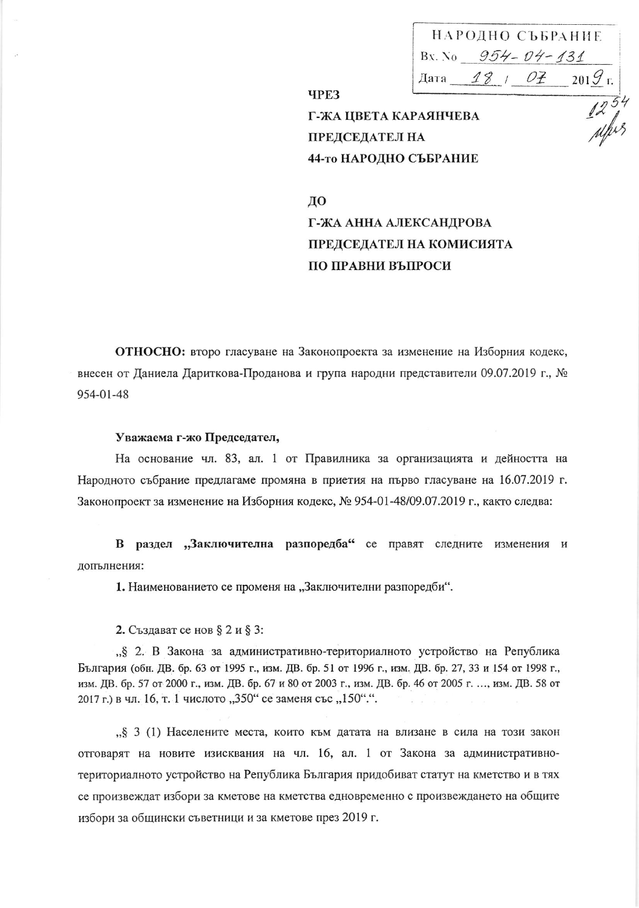НАРОДНО СЪБРАНИЕ Bx. No  $954 - 04 - 131$ Дата <u>— 18 / О<del>І</del> — 2019</u> г.  $\frac{1254}{444}$ 

Г-ЖА ЦВЕТА КАРАЯНЧЕВА **ПРЕДСЕДАТЕЛ НА** 44-то НАРОДНО СЪБРАНИЕ

ДО Г-ЖА АННА АЛЕКСАНДРОВА ПРЕДСЕДАТЕЛ НА КОМИСИЯТА ПО ПРАВНИ ВЪПРОСИ

ОТНОСНО: второ гласуване на Законопроекта за изменение на Изборния кодекс, внесен от Даниела Дариткова-Проданова и група народни представители 09.07.2019 г., №  $954 - 01 - 48$ 

**ЧРЕЗ** 

## Уважаема г-жо Председател,

На основание чл. 83, ал. 1 от Правилника за организацията и дейността на Народното събрание предлагаме промяна в приетия на първо гласуване на 16.07.2019 г. Законопроект за изменение на Изборния кодекс, № 954-01-48/09.07.2019 г., както следва:

В раздел "Заключителна разпоредба" се правят следните изменения и допълнения:

1. Наименованието се променя на "Заключителни разпоредби".

2. Създават се нов § 2 и § 3:

"§ 2. В Закона за административно-териториалното устройство на Република България (обн. ДВ. бр. 63 от 1995 г., изм. ДВ. бр. 51 от 1996 г., изм. ДВ. бр. 27, 33 и 154 от 1998 г., изм. ДВ. бр. 57 от 2000 г., изм. ДВ. бр. 67 и 80 от 2003 г., изм. ДВ. бр. 46 от 2005 г. ..., изм. ДВ. 58 от 2017 г.) в чл. 16, т. 1 числото "350" се заменя със "150".".

"§ 3 (1) Населените места, които към датата на влизане в сила на този закон отговарят на новите изисквания на чл. 16, ал. 1 от Закона за административнотериториалното устройство на Република България придобиват статут на кметство и в тях се произвеждат избори за кметове на кметства едновременно с произвеждането на общите избори за общински съветници и за кметове през 2019 г.